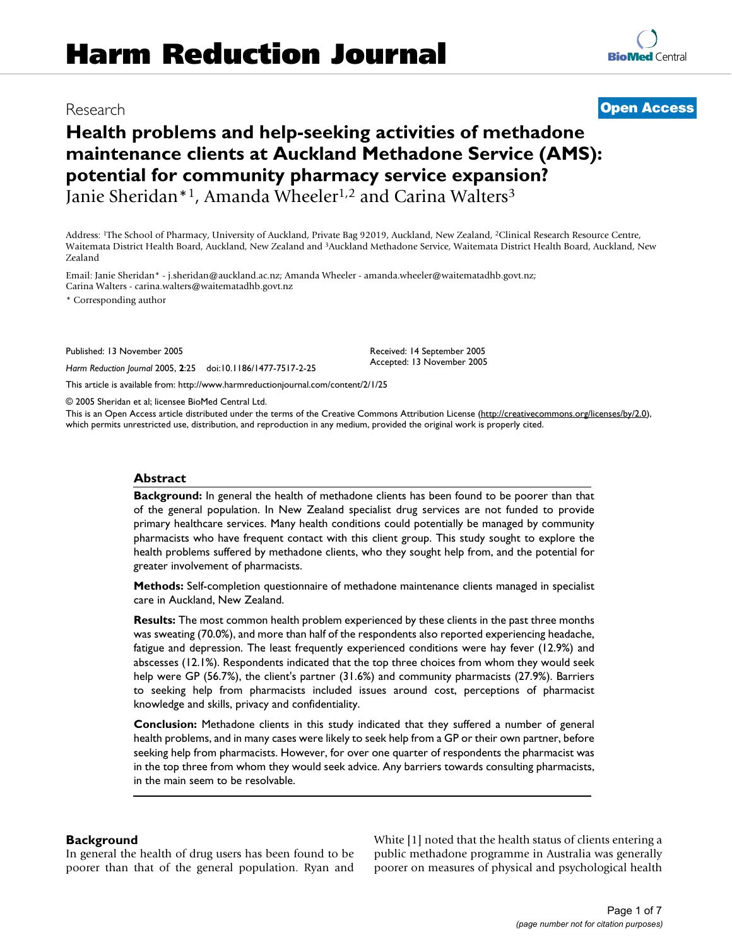# **Harm Reduction Journal**

# Research **[Open Access](http://www.biomedcentral.com/info/about/charter/)**

# **Health problems and help-seeking activities of methadone maintenance clients at Auckland Methadone Service (AMS): potential for community pharmacy service expansion?** Janie Sheridan\*<sup>1</sup>, Amanda Wheeler<sup>1,2</sup> and Carina Walters<sup>3</sup>

Address: 1The School of Pharmacy, University of Auckland, Private Bag 92019, Auckland, New Zealand, 2Clinical Research Resource Centre, Waitemata District Health Board, Auckland, New Zealand and 3Auckland Methadone Service, Waitemata District Health Board, Auckland, New Zealand

Email: Janie Sheridan\* - j.sheridan@auckland.ac.nz; Amanda Wheeler - amanda.wheeler@waitematadhb.govt.nz; Carina Walters - carina.walters@waitematadhb.govt.nz

\* Corresponding author

Published: 13 November 2005

*Harm Reduction Journal* 2005, **2**:25 doi:10.1186/1477-7517-2-25

Received: 14 September 2005 Accepted: 13 November 2005

[This article is available from: http://www.harmreductionjournal.com/content/2/1/25](http://www.harmreductionjournal.com/content/2/1/25)

© 2005 Sheridan et al; licensee BioMed Central Ltd.

This is an Open Access article distributed under the terms of the Creative Commons Attribution License [\(http://creativecommons.org/licenses/by/2.0\)](http://creativecommons.org/licenses/by/2.0), which permits unrestricted use, distribution, and reproduction in any medium, provided the original work is properly cited.

#### **Abstract**

**Background:** In general the health of methadone clients has been found to be poorer than that of the general population. In New Zealand specialist drug services are not funded to provide primary healthcare services. Many health conditions could potentially be managed by community pharmacists who have frequent contact with this client group. This study sought to explore the health problems suffered by methadone clients, who they sought help from, and the potential for greater involvement of pharmacists.

**Methods:** Self-completion questionnaire of methadone maintenance clients managed in specialist care in Auckland, New Zealand.

**Results:** The most common health problem experienced by these clients in the past three months was sweating (70.0%), and more than half of the respondents also reported experiencing headache, fatigue and depression. The least frequently experienced conditions were hay fever (12.9%) and abscesses (12.1%). Respondents indicated that the top three choices from whom they would seek help were GP (56.7%), the client's partner (31.6%) and community pharmacists (27.9%). Barriers to seeking help from pharmacists included issues around cost, perceptions of pharmacist knowledge and skills, privacy and confidentiality.

**Conclusion:** Methadone clients in this study indicated that they suffered a number of general health problems, and in many cases were likely to seek help from a GP or their own partner, before seeking help from pharmacists. However, for over one quarter of respondents the pharmacist was in the top three from whom they would seek advice. Any barriers towards consulting pharmacists, in the main seem to be resolvable.

#### **Background**

In general the health of drug users has been found to be poorer than that of the general population. Ryan and White [1] noted that the health status of clients entering a public methadone programme in Australia was generally poorer on measures of physical and psychological health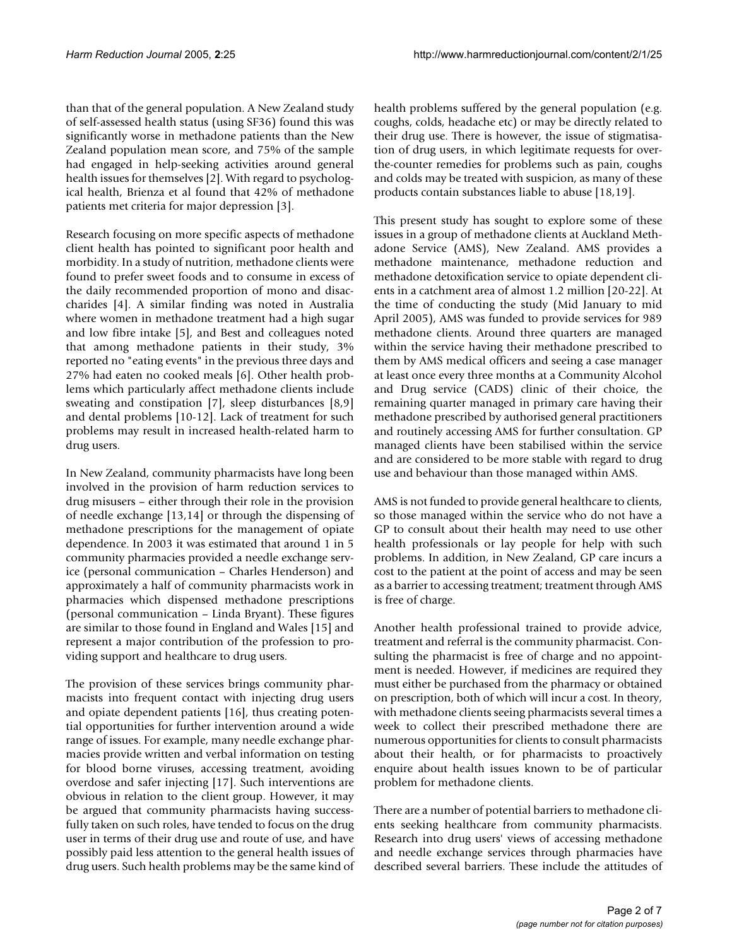than that of the general population. A New Zealand study of self-assessed health status (using SF36) found this was significantly worse in methadone patients than the New Zealand population mean score, and 75% of the sample had engaged in help-seeking activities around general health issues for themselves [2]. With regard to psychological health, Brienza et al found that 42% of methadone patients met criteria for major depression [3].

Research focusing on more specific aspects of methadone client health has pointed to significant poor health and morbidity. In a study of nutrition, methadone clients were found to prefer sweet foods and to consume in excess of the daily recommended proportion of mono and disaccharides [4]. A similar finding was noted in Australia where women in methadone treatment had a high sugar and low fibre intake [5], and Best and colleagues noted that among methadone patients in their study, 3% reported no "eating events" in the previous three days and 27% had eaten no cooked meals [6]. Other health problems which particularly affect methadone clients include sweating and constipation [7], sleep disturbances [8,9] and dental problems [10-12]. Lack of treatment for such problems may result in increased health-related harm to drug users.

In New Zealand, community pharmacists have long been involved in the provision of harm reduction services to drug misusers – either through their role in the provision of needle exchange [13,14] or through the dispensing of methadone prescriptions for the management of opiate dependence. In 2003 it was estimated that around 1 in 5 community pharmacies provided a needle exchange service (personal communication – Charles Henderson) and approximately a half of community pharmacists work in pharmacies which dispensed methadone prescriptions (personal communication – Linda Bryant). These figures are similar to those found in England and Wales [15] and represent a major contribution of the profession to providing support and healthcare to drug users.

The provision of these services brings community pharmacists into frequent contact with injecting drug users and opiate dependent patients [16], thus creating potential opportunities for further intervention around a wide range of issues. For example, many needle exchange pharmacies provide written and verbal information on testing for blood borne viruses, accessing treatment, avoiding overdose and safer injecting [17]. Such interventions are obvious in relation to the client group. However, it may be argued that community pharmacists having successfully taken on such roles, have tended to focus on the drug user in terms of their drug use and route of use, and have possibly paid less attention to the general health issues of drug users. Such health problems may be the same kind of health problems suffered by the general population (e.g. coughs, colds, headache etc) or may be directly related to their drug use. There is however, the issue of stigmatisation of drug users, in which legitimate requests for overthe-counter remedies for problems such as pain, coughs and colds may be treated with suspicion, as many of these products contain substances liable to abuse [18,19].

This present study has sought to explore some of these issues in a group of methadone clients at Auckland Methadone Service (AMS), New Zealand. AMS provides a methadone maintenance, methadone reduction and methadone detoxification service to opiate dependent clients in a catchment area of almost 1.2 million [20-22]. At the time of conducting the study (Mid January to mid April 2005), AMS was funded to provide services for 989 methadone clients. Around three quarters are managed within the service having their methadone prescribed to them by AMS medical officers and seeing a case manager at least once every three months at a Community Alcohol and Drug service (CADS) clinic of their choice, the remaining quarter managed in primary care having their methadone prescribed by authorised general practitioners and routinely accessing AMS for further consultation. GP managed clients have been stabilised within the service and are considered to be more stable with regard to drug use and behaviour than those managed within AMS.

AMS is not funded to provide general healthcare to clients, so those managed within the service who do not have a GP to consult about their health may need to use other health professionals or lay people for help with such problems. In addition, in New Zealand, GP care incurs a cost to the patient at the point of access and may be seen as a barrier to accessing treatment; treatment through AMS is free of charge.

Another health professional trained to provide advice, treatment and referral is the community pharmacist. Consulting the pharmacist is free of charge and no appointment is needed. However, if medicines are required they must either be purchased from the pharmacy or obtained on prescription, both of which will incur a cost. In theory, with methadone clients seeing pharmacists several times a week to collect their prescribed methadone there are numerous opportunities for clients to consult pharmacists about their health, or for pharmacists to proactively enquire about health issues known to be of particular problem for methadone clients.

There are a number of potential barriers to methadone clients seeking healthcare from community pharmacists. Research into drug users' views of accessing methadone and needle exchange services through pharmacies have described several barriers. These include the attitudes of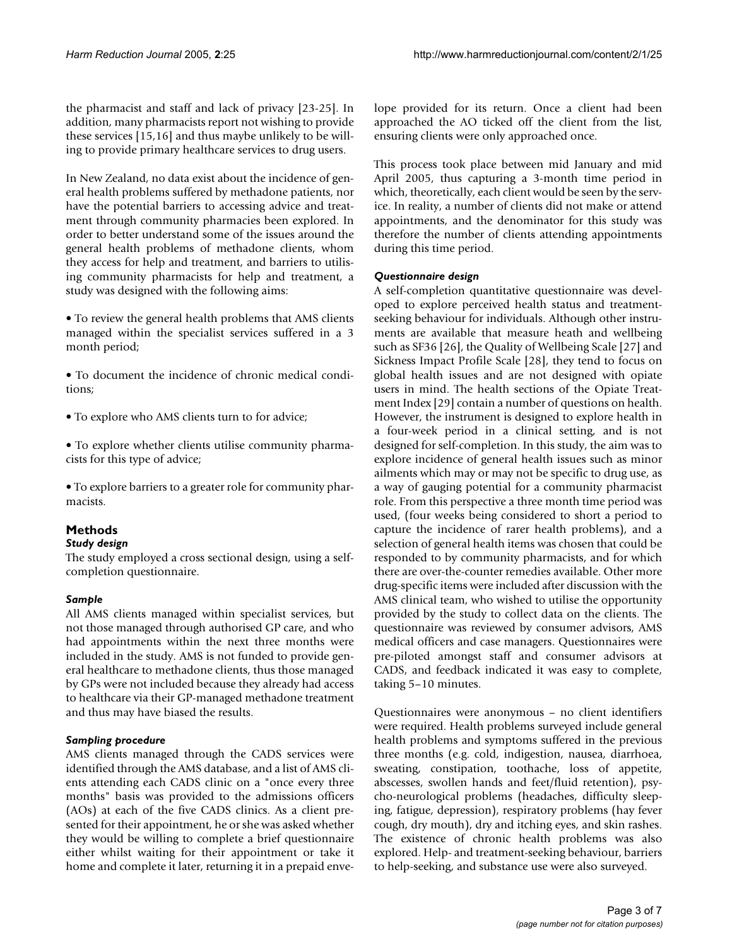the pharmacist and staff and lack of privacy [23-25]. In addition, many pharmacists report not wishing to provide these services [15,16] and thus maybe unlikely to be willing to provide primary healthcare services to drug users.

In New Zealand, no data exist about the incidence of general health problems suffered by methadone patients, nor have the potential barriers to accessing advice and treatment through community pharmacies been explored. In order to better understand some of the issues around the general health problems of methadone clients, whom they access for help and treatment, and barriers to utilising community pharmacists for help and treatment, a study was designed with the following aims:

• To review the general health problems that AMS clients managed within the specialist services suffered in a 3 month period;

• To document the incidence of chronic medical conditions;

- To explore who AMS clients turn to for advice;
- To explore whether clients utilise community pharmacists for this type of advice;

• To explore barriers to a greater role for community pharmacists.

#### **Methods** *Study design*

The study employed a cross sectional design, using a selfcompletion questionnaire.

# *Sample*

All AMS clients managed within specialist services, but not those managed through authorised GP care, and who had appointments within the next three months were included in the study. AMS is not funded to provide general healthcare to methadone clients, thus those managed by GPs were not included because they already had access to healthcare via their GP-managed methadone treatment and thus may have biased the results.

# *Sampling procedure*

AMS clients managed through the CADS services were identified through the AMS database, and a list of AMS clients attending each CADS clinic on a "once every three months" basis was provided to the admissions officers (AOs) at each of the five CADS clinics. As a client presented for their appointment, he or she was asked whether they would be willing to complete a brief questionnaire either whilst waiting for their appointment or take it home and complete it later, returning it in a prepaid envelope provided for its return. Once a client had been approached the AO ticked off the client from the list, ensuring clients were only approached once.

This process took place between mid January and mid April 2005, thus capturing a 3-month time period in which, theoretically, each client would be seen by the service. In reality, a number of clients did not make or attend appointments, and the denominator for this study was therefore the number of clients attending appointments during this time period.

# *Questionnaire design*

A self-completion quantitative questionnaire was developed to explore perceived health status and treatmentseeking behaviour for individuals. Although other instruments are available that measure heath and wellbeing such as SF36 [26], the Quality of Wellbeing Scale [27] and Sickness Impact Profile Scale [28], they tend to focus on global health issues and are not designed with opiate users in mind. The health sections of the Opiate Treatment Index [29] contain a number of questions on health. However, the instrument is designed to explore health in a four-week period in a clinical setting, and is not designed for self-completion. In this study, the aim was to explore incidence of general health issues such as minor ailments which may or may not be specific to drug use, as a way of gauging potential for a community pharmacist role. From this perspective a three month time period was used, (four weeks being considered to short a period to capture the incidence of rarer health problems), and a selection of general health items was chosen that could be responded to by community pharmacists, and for which there are over-the-counter remedies available. Other more drug-specific items were included after discussion with the AMS clinical team, who wished to utilise the opportunity provided by the study to collect data on the clients. The questionnaire was reviewed by consumer advisors, AMS medical officers and case managers. Questionnaires were pre-piloted amongst staff and consumer advisors at CADS, and feedback indicated it was easy to complete, taking 5–10 minutes.

Questionnaires were anonymous – no client identifiers were required. Health problems surveyed include general health problems and symptoms suffered in the previous three months (e.g. cold, indigestion, nausea, diarrhoea, sweating, constipation, toothache, loss of appetite, abscesses, swollen hands and feet/fluid retention), psycho-neurological problems (headaches, difficulty sleeping, fatigue, depression), respiratory problems (hay fever cough, dry mouth), dry and itching eyes, and skin rashes. The existence of chronic health problems was also explored. Help- and treatment-seeking behaviour, barriers to help-seeking, and substance use were also surveyed.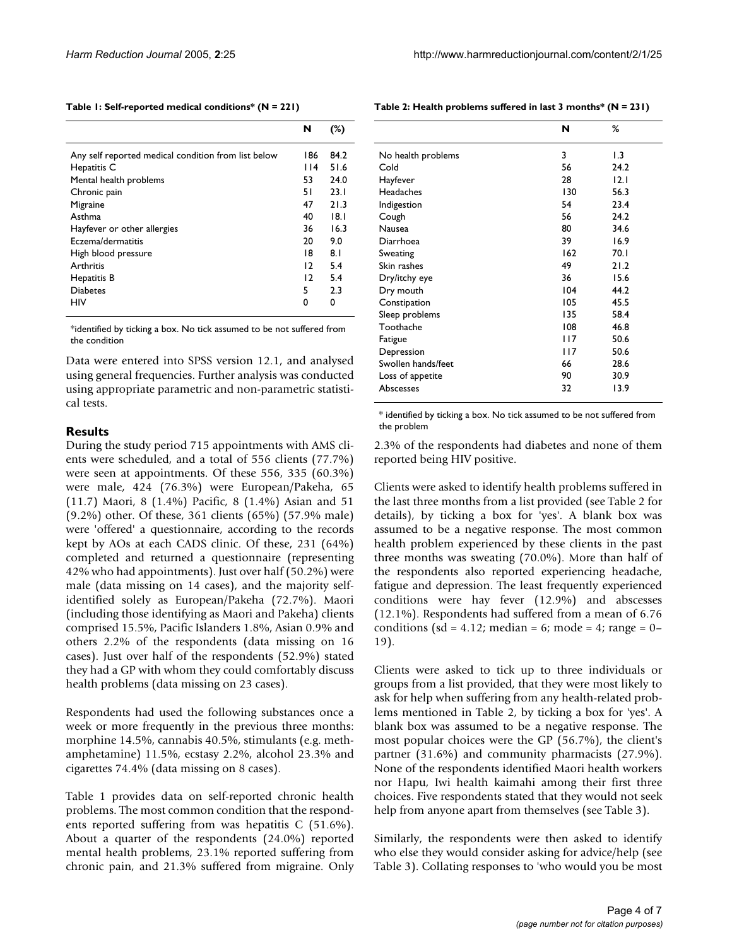**Table 1: Self-reported medical conditions\* (N = 221)**

|                                                     | N      | (%)   |
|-----------------------------------------------------|--------|-------|
| Any self reported medical condition from list below | 186    | 84.2  |
| Hepatitis C                                         | $ $  4 | 51.6  |
| Mental health problems                              | 53     | 24.0  |
| Chronic pain                                        | 51     | 23. I |
| Migraine                                            | 47     | 21.3  |
| Asthma                                              | 40     | 18.1  |
| Hayfever or other allergies                         | 36     | 16.3  |
| <b>Fczema/dermatitis</b>                            | 20     | 9.0   |
| High blood pressure                                 | 18     | 8. I  |
| Arthritis                                           | 12     | 5.4   |
| Hepatitis B                                         | 12     | 5.4   |
| <b>Diabetes</b>                                     | 5      | 23    |
| HIV                                                 | 0      | 0     |

\*identified by ticking a box. No tick assumed to be not suffered from the condition

Data were entered into SPSS version 12.1, and analysed using general frequencies. Further analysis was conducted using appropriate parametric and non-parametric statistical tests.

### **Results**

During the study period 715 appointments with AMS clients were scheduled, and a total of 556 clients (77.7%) were seen at appointments. Of these 556, 335 (60.3%) were male, 424 (76.3%) were European/Pakeha, 65 (11.7) Maori, 8 (1.4%) Pacific, 8 (1.4%) Asian and 51 (9.2%) other. Of these, 361 clients (65%) (57.9% male) were 'offered' a questionnaire, according to the records kept by AOs at each CADS clinic. Of these, 231 (64%) completed and returned a questionnaire (representing 42% who had appointments). Just over half (50.2%) were male (data missing on 14 cases), and the majority selfidentified solely as European/Pakeha (72.7%). Maori (including those identifying as Maori and Pakeha) clients comprised 15.5%, Pacific Islanders 1.8%, Asian 0.9% and others 2.2% of the respondents (data missing on 16 cases). Just over half of the respondents (52.9%) stated they had a GP with whom they could comfortably discuss health problems (data missing on 23 cases).

Respondents had used the following substances once a week or more frequently in the previous three months: morphine 14.5%, cannabis 40.5%, stimulants (e.g. methamphetamine) 11.5%, ecstasy 2.2%, alcohol 23.3% and cigarettes 74.4% (data missing on 8 cases).

Table 1 provides data on self-reported chronic health problems. The most common condition that the respondents reported suffering from was hepatitis C (51.6%). About a quarter of the respondents (24.0%) reported mental health problems, 23.1% reported suffering from chronic pain, and 21.3% suffered from migraine. Only

| Table 2: Health problems suffered in last 3 months* (N = 231) |  |  |  |  |  |  |
|---------------------------------------------------------------|--|--|--|--|--|--|
|---------------------------------------------------------------|--|--|--|--|--|--|

|                    | N   | %                |
|--------------------|-----|------------------|
| No health problems | 3   | $\overline{1.3}$ |
| Cold               | 56  | 24.2             |
| Hayfever           | 28  | 12.1             |
| Headaches          | 130 | 56.3             |
| Indigestion        | 54  | 23.4             |
| Cough              | 56  | 24.2             |
| <b>Nausea</b>      | 80  | 34.6             |
| Diarrhoea          | 39  | 16.9             |
| Sweating           | 162 | 70.1             |
| Skin rashes        | 49  | 21.2             |
| Dry/itchy eye      | 36  | 15.6             |
| Dry mouth          | 104 | 44.2             |
| Constipation       | 105 | 45.5             |
| Sleep problems     | 135 | 58.4             |
| Toothache          | 108 | 46.8             |
| Fatigue            | 117 | 50.6             |
| Depression         | 117 | 50.6             |
| Swollen hands/feet | 66  | 28.6             |
| Loss of appetite   | 90  | 30.9             |
| Abscesses          | 32  | 13.9             |

\* identified by ticking a box. No tick assumed to be not suffered from the problem

2.3% of the respondents had diabetes and none of them reported being HIV positive.

Clients were asked to identify health problems suffered in the last three months from a list provided (see Table 2 for details), by ticking a box for 'yes'. A blank box was assumed to be a negative response. The most common health problem experienced by these clients in the past three months was sweating (70.0%). More than half of the respondents also reported experiencing headache, fatigue and depression. The least frequently experienced conditions were hay fever (12.9%) and abscesses (12.1%). Respondents had suffered from a mean of 6.76 conditions (sd = 4.12; median = 6; mode = 4; range =  $0-$ 19).

Clients were asked to tick up to three individuals or groups from a list provided, that they were most likely to ask for help when suffering from any health-related problems mentioned in Table 2, by ticking a box for 'yes'. A blank box was assumed to be a negative response. The most popular choices were the GP (56.7%), the client's partner (31.6%) and community pharmacists (27.9%). None of the respondents identified Maori health workers nor Hapu, Iwi health kaimahi among their first three choices. Five respondents stated that they would not seek help from anyone apart from themselves (see Table 3).

Similarly, the respondents were then asked to identify who else they would consider asking for advice/help (see Table 3). Collating responses to 'who would you be most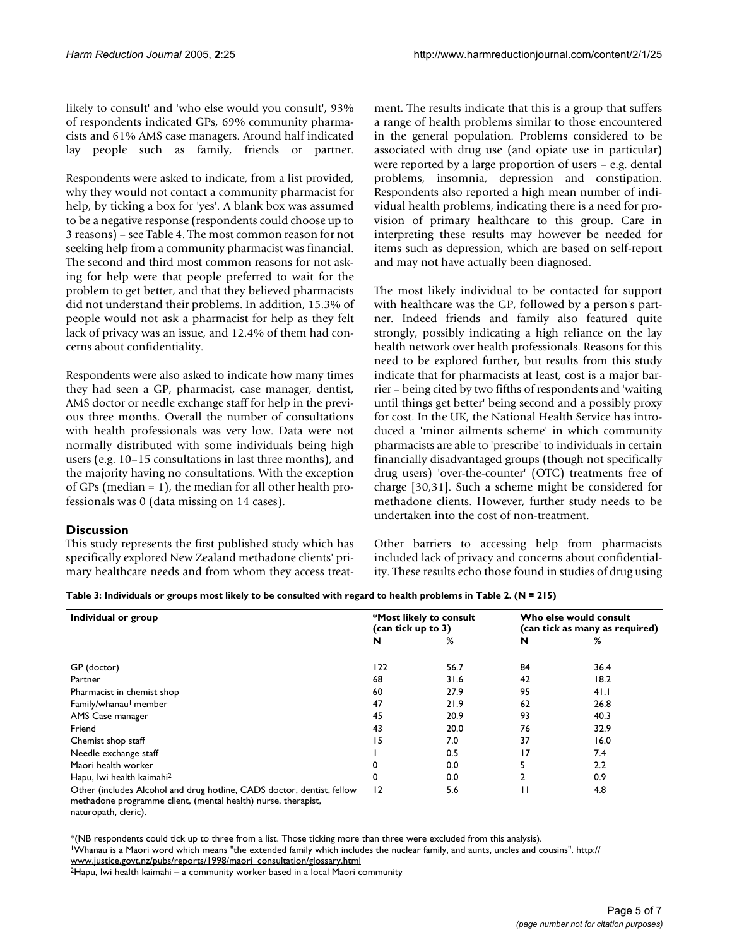likely to consult' and 'who else would you consult', 93% of respondents indicated GPs, 69% community pharmacists and 61% AMS case managers. Around half indicated lay people such as family, friends or partner.

Respondents were asked to indicate, from a list provided, why they would not contact a community pharmacist for help, by ticking a box for 'yes'. A blank box was assumed to be a negative response (respondents could choose up to 3 reasons) – see Table 4. The most common reason for not seeking help from a community pharmacist was financial. The second and third most common reasons for not asking for help were that people preferred to wait for the problem to get better, and that they believed pharmacists did not understand their problems. In addition, 15.3% of people would not ask a pharmacist for help as they felt lack of privacy was an issue, and 12.4% of them had concerns about confidentiality.

Respondents were also asked to indicate how many times they had seen a GP, pharmacist, case manager, dentist, AMS doctor or needle exchange staff for help in the previous three months. Overall the number of consultations with health professionals was very low. Data were not normally distributed with some individuals being high users (e.g. 10–15 consultations in last three months), and the majority having no consultations. With the exception of GPs (median = 1), the median for all other health professionals was 0 (data missing on 14 cases).

# **Discussion**

This study represents the first published study which has specifically explored New Zealand methadone clients' primary healthcare needs and from whom they access treatment. The results indicate that this is a group that suffers a range of health problems similar to those encountered in the general population. Problems considered to be associated with drug use (and opiate use in particular) were reported by a large proportion of users – e.g. dental problems, insomnia, depression and constipation. Respondents also reported a high mean number of individual health problems, indicating there is a need for provision of primary healthcare to this group. Care in interpreting these results may however be needed for items such as depression, which are based on self-report and may not have actually been diagnosed.

The most likely individual to be contacted for support with healthcare was the GP, followed by a person's partner. Indeed friends and family also featured quite strongly, possibly indicating a high reliance on the lay health network over health professionals. Reasons for this need to be explored further, but results from this study indicate that for pharmacists at least, cost is a major barrier – being cited by two fifths of respondents and 'waiting until things get better' being second and a possibly proxy for cost. In the UK, the National Health Service has introduced a 'minor ailments scheme' in which community pharmacists are able to 'prescribe' to individuals in certain financially disadvantaged groups (though not specifically drug users) 'over-the-counter' (OTC) treatments free of charge [30,31]. Such a scheme might be considered for methadone clients. However, further study needs to be undertaken into the cost of non-treatment.

Other barriers to accessing help from pharmacists included lack of privacy and concerns about confidentiality. These results echo those found in studies of drug using

| Table 3: Individuals or groups most likely to be consulted with regard to health problems in Table 2. (N = 215) |  |  |  |
|-----------------------------------------------------------------------------------------------------------------|--|--|--|
|-----------------------------------------------------------------------------------------------------------------|--|--|--|

| Individual or group                                                                                                                                             | *Most likely to consult<br>(can tick up to 3) |      | Who else would consult<br>(can tick as many as required) |      |
|-----------------------------------------------------------------------------------------------------------------------------------------------------------------|-----------------------------------------------|------|----------------------------------------------------------|------|
|                                                                                                                                                                 | N                                             | %    | N                                                        | %    |
| GP (doctor)                                                                                                                                                     | 122                                           | 56.7 | 84                                                       | 36.4 |
| Partner                                                                                                                                                         | 68                                            | 31.6 | 42                                                       | 18.2 |
| Pharmacist in chemist shop                                                                                                                                      | 60                                            | 27.9 | 95                                                       | 41.1 |
| Family/whanau <sup>1</sup> member                                                                                                                               | 47                                            | 21.9 | 62                                                       | 26.8 |
| AMS Case manager                                                                                                                                                | 45                                            | 20.9 | 93                                                       | 40.3 |
| Friend                                                                                                                                                          | 43                                            | 20.0 | 76                                                       | 32.9 |
| Chemist shop staff                                                                                                                                              | 15                                            | 7.0  | 37                                                       | 16.0 |
| Needle exchange staff                                                                                                                                           |                                               | 0.5  | 17                                                       | 7.4  |
| Maori health worker                                                                                                                                             | 0                                             | 0.0  |                                                          | 2.2  |
| Hapu, Iwi health kaimahi <sup>2</sup>                                                                                                                           | 0                                             | 0.0  |                                                          | 0.9  |
| Other (includes Alcohol and drug hotline, CADS doctor, dentist, fellow<br>methadone programme client, (mental health) nurse, therapist,<br>naturopath, cleric). | 12                                            | 5.6  | П                                                        | 4.8  |

\*(NB respondents could tick up to three from a list. Those ticking more than three were excluded from this analysis).

1Whanau is a Maori word which means "the extended family which includes the nuclear family, and aunts, uncles and cousins". [http://](http://www.justice.govt.nz/pubs/reports/1998/maori_consultation/glossary.html) [www.justice.govt.nz/pubs/reports/1998/maori\\_consultation/glossary.html](http://www.justice.govt.nz/pubs/reports/1998/maori_consultation/glossary.html)

2Hapu, Iwi health kaimahi – a community worker based in a local Maori community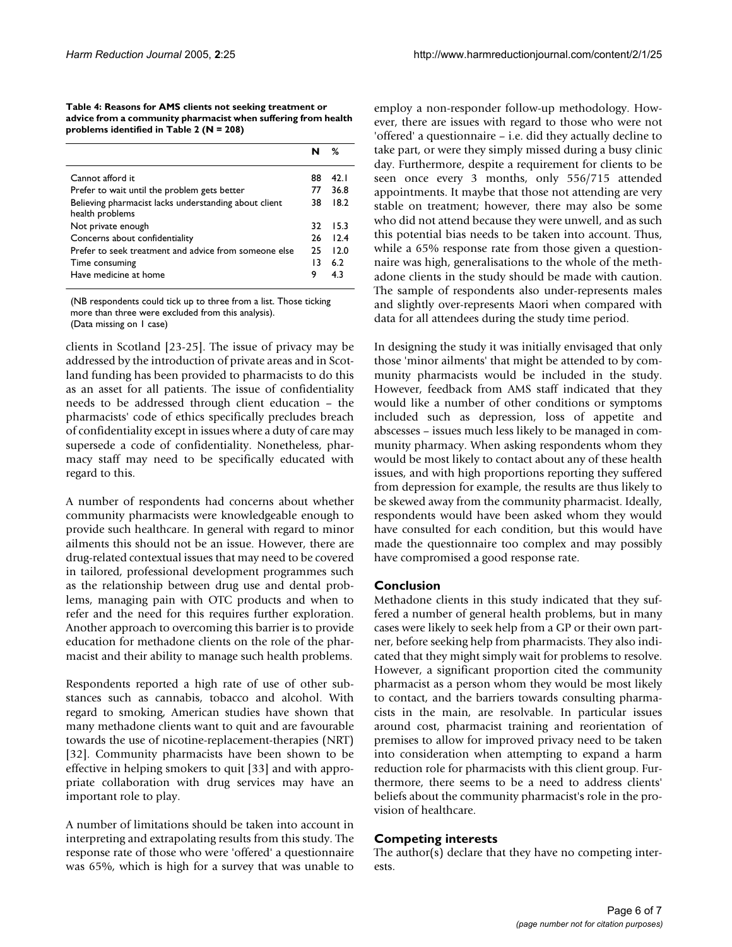**Table 4: Reasons for AMS clients not seeking treatment or advice from a community pharmacist when suffering from health problems identified in Table 2 (N = 208)**

|                                                       |    | ℅     |
|-------------------------------------------------------|----|-------|
|                                                       |    |       |
| Cannot afford it                                      | 88 | 42. I |
| Prefer to wait until the problem gets better          | 77 | 36.8  |
| Believing pharmacist lacks understanding about client | 38 | 18.2  |
| health problems                                       |    |       |
| Not private enough                                    | 32 | 15.3  |
| Concerns about confidentiality                        | 26 | 12.4  |
| Prefer to seek treatment and advice from someone else | 25 | 12.0  |
| Time consuming                                        | 13 | 6.2   |
| Have medicine at home                                 | 9  | 4.3   |
|                                                       |    |       |

(NB respondents could tick up to three from a list. Those ticking more than three were excluded from this analysis).

(Data missing on 1 case)

clients in Scotland [23-25]. The issue of privacy may be addressed by the introduction of private areas and in Scotland funding has been provided to pharmacists to do this as an asset for all patients. The issue of confidentiality needs to be addressed through client education – the pharmacists' code of ethics specifically precludes breach of confidentiality except in issues where a duty of care may supersede a code of confidentiality. Nonetheless, pharmacy staff may need to be specifically educated with regard to this.

A number of respondents had concerns about whether community pharmacists were knowledgeable enough to provide such healthcare. In general with regard to minor ailments this should not be an issue. However, there are drug-related contextual issues that may need to be covered in tailored, professional development programmes such as the relationship between drug use and dental problems, managing pain with OTC products and when to refer and the need for this requires further exploration. Another approach to overcoming this barrier is to provide education for methadone clients on the role of the pharmacist and their ability to manage such health problems.

Respondents reported a high rate of use of other substances such as cannabis, tobacco and alcohol. With regard to smoking, American studies have shown that many methadone clients want to quit and are favourable towards the use of nicotine-replacement-therapies (NRT) [32]. Community pharmacists have been shown to be effective in helping smokers to quit [33] and with appropriate collaboration with drug services may have an important role to play.

A number of limitations should be taken into account in interpreting and extrapolating results from this study. The response rate of those who were 'offered' a questionnaire was 65%, which is high for a survey that was unable to

employ a non-responder follow-up methodology. However, there are issues with regard to those who were not 'offered' a questionnaire – i.e. did they actually decline to take part, or were they simply missed during a busy clinic day. Furthermore, despite a requirement for clients to be seen once every 3 months, only 556/715 attended appointments. It maybe that those not attending are very stable on treatment; however, there may also be some who did not attend because they were unwell, and as such this potential bias needs to be taken into account. Thus, while a 65% response rate from those given a questionnaire was high, generalisations to the whole of the methadone clients in the study should be made with caution. The sample of respondents also under-represents males and slightly over-represents Maori when compared with data for all attendees during the study time period.

In designing the study it was initially envisaged that only those 'minor ailments' that might be attended to by community pharmacists would be included in the study. However, feedback from AMS staff indicated that they would like a number of other conditions or symptoms included such as depression, loss of appetite and abscesses – issues much less likely to be managed in community pharmacy. When asking respondents whom they would be most likely to contact about any of these health issues, and with high proportions reporting they suffered from depression for example, the results are thus likely to be skewed away from the community pharmacist. Ideally, respondents would have been asked whom they would have consulted for each condition, but this would have made the questionnaire too complex and may possibly have compromised a good response rate.

#### **Conclusion**

Methadone clients in this study indicated that they suffered a number of general health problems, but in many cases were likely to seek help from a GP or their own partner, before seeking help from pharmacists. They also indicated that they might simply wait for problems to resolve. However, a significant proportion cited the community pharmacist as a person whom they would be most likely to contact, and the barriers towards consulting pharmacists in the main, are resolvable. In particular issues around cost, pharmacist training and reorientation of premises to allow for improved privacy need to be taken into consideration when attempting to expand a harm reduction role for pharmacists with this client group. Furthermore, there seems to be a need to address clients' beliefs about the community pharmacist's role in the provision of healthcare.

# **Competing interests**

The author(s) declare that they have no competing interests.